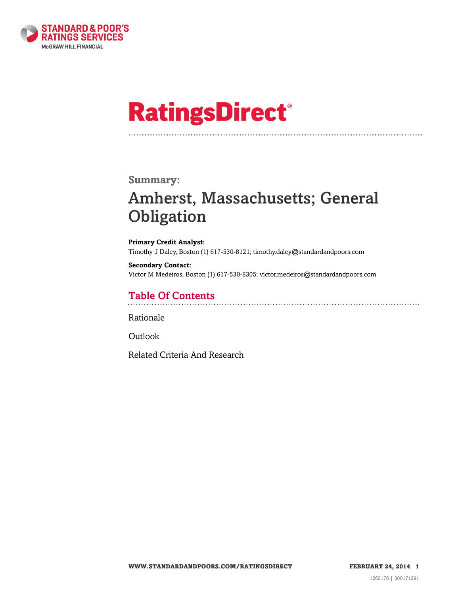

# **RatingsDirect®**

#### **Summary:**

# Amherst, Massachusetts; General **Obligation**

**Primary Credit Analyst:** Timothy J Daley, Boston (1) 617-530-8121; timothy.daley@standardandpoors.com

**Secondary Contact:** Victor M Medeiros, Boston (1) 617-530-8305; victor.medeiros@standardandpoors.com

### Table Of Contents

[Rationale](#page-1-0)

[Outlook](#page-3-0)

[Related Criteria And Research](#page-4-0)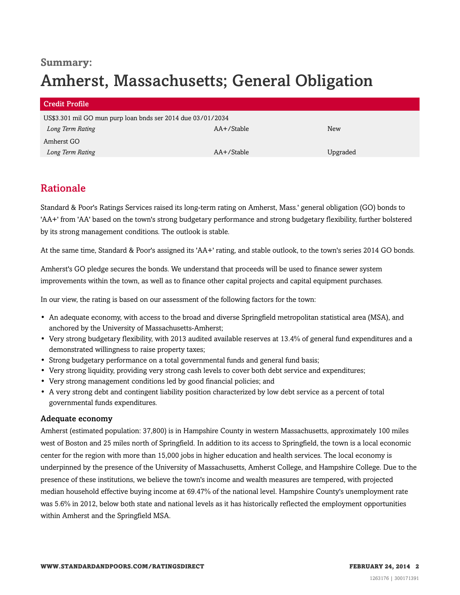# **Summary:** Amherst, Massachusetts; General Obligation

| Credit Profile                                              |            |          |
|-------------------------------------------------------------|------------|----------|
| US\$3.301 mil GO mun purp loan bnds ser 2014 due 03/01/2034 |            |          |
| Long Term Rating                                            | AA+/Stable | New      |
| Amherst GO                                                  |            |          |
| Long Term Rating                                            | AA+/Stable | Upgraded |

## <span id="page-1-0"></span>Rationale

Standard & Poor's Ratings Services raised its long-term rating on Amherst, Mass.' general obligation (GO) bonds to 'AA+' from 'AA' based on the town's strong budgetary performance and strong budgetary flexibility, further bolstered by its strong management conditions. The outlook is stable.

At the same time, Standard & Poor's assigned its 'AA+' rating, and stable outlook, to the town's series 2014 GO bonds.

Amherst's GO pledge secures the bonds. We understand that proceeds will be used to finance sewer system improvements within the town, as well as to finance other capital projects and capital equipment purchases.

In our view, the rating is based on our assessment of the following factors for the town:

- An adequate economy, with access to the broad and diverse Springfield metropolitan statistical area (MSA), and anchored by the University of Massachusetts-Amherst;
- Very strong budgetary flexibility, with 2013 audited available reserves at 13.4% of general fund expenditures and a demonstrated willingness to raise property taxes;
- Strong budgetary performance on a total governmental funds and general fund basis;
- Very strong liquidity, providing very strong cash levels to cover both debt service and expenditures;
- Very strong management conditions led by good financial policies; and
- A very strong debt and contingent liability position characterized by low debt service as a percent of total governmental funds expenditures.

#### Adequate economy

Amherst (estimated population: 37,800) is in Hampshire County in western Massachusetts, approximately 100 miles west of Boston and 25 miles north of Springfield. In addition to its access to Springfield, the town is a local economic center for the region with more than 15,000 jobs in higher education and health services. The local economy is underpinned by the presence of the University of Massachusetts, Amherst College, and Hampshire College. Due to the presence of these institutions, we believe the town's income and wealth measures are tempered, with projected median household effective buying income at 69.47% of the national level. Hampshire County's unemployment rate was 5.6% in 2012, below both state and national levels as it has historically reflected the employment opportunities within Amherst and the Springfield MSA.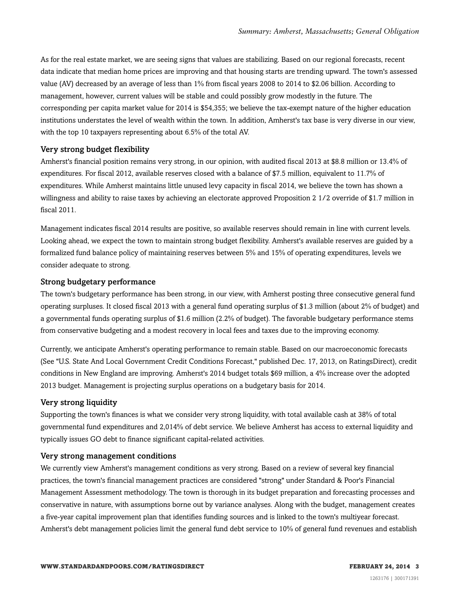As for the real estate market, we are seeing signs that values are stabilizing. Based on our regional forecasts, recent data indicate that median home prices are improving and that housing starts are trending upward. The town's assessed value (AV) decreased by an average of less than 1% from fiscal years 2008 to 2014 to \$2.06 billion. According to management, however, current values will be stable and could possibly grow modestly in the future. The corresponding per capita market value for 2014 is \$54,355; we believe the tax-exempt nature of the higher education institutions understates the level of wealth within the town. In addition, Amherst's tax base is very diverse in our view, with the top 10 taxpayers representing about 6.5% of the total AV.

#### Very strong budget flexibility

Amherst's financial position remains very strong, in our opinion, with audited fiscal 2013 at \$8.8 million or 13.4% of expenditures. For fiscal 2012, available reserves closed with a balance of \$7.5 million, equivalent to 11.7% of expenditures. While Amherst maintains little unused levy capacity in fiscal 2014, we believe the town has shown a willingness and ability to raise taxes by achieving an electorate approved Proposition 2 1/2 override of \$1.7 million in fiscal 2011.

Management indicates fiscal 2014 results are positive, so available reserves should remain in line with current levels. Looking ahead, we expect the town to maintain strong budget flexibility. Amherst's available reserves are guided by a formalized fund balance policy of maintaining reserves between 5% and 15% of operating expenditures, levels we consider adequate to strong.

#### Strong budgetary performance

The town's budgetary performance has been strong, in our view, with Amherst posting three consecutive general fund operating surpluses. It closed fiscal 2013 with a general fund operating surplus of \$1.3 million (about 2% of budget) and a governmental funds operating surplus of \$1.6 million (2.2% of budget). The favorable budgetary performance stems from conservative budgeting and a modest recovery in local fees and taxes due to the improving economy.

Currently, we anticipate Amherst's operating performance to remain stable. Based on our macroeconomic forecasts (See "U.S. State And Local Government Credit Conditions Forecast," published Dec. 17, 2013, on RatingsDirect), credit conditions in New England are improving. Amherst's 2014 budget totals \$69 million, a 4% increase over the adopted 2013 budget. Management is projecting surplus operations on a budgetary basis for 2014.

#### Very strong liquidity

Supporting the town's finances is what we consider very strong liquidity, with total available cash at 38% of total governmental fund expenditures and 2,014% of debt service. We believe Amherst has access to external liquidity and typically issues GO debt to finance significant capital-related activities.

#### Very strong management conditions

We currently view Amherst's management conditions as very strong. Based on a review of several key financial practices, the town's financial management practices are considered "strong" under Standard & Poor's Financial Management Assessment methodology. The town is thorough in its budget preparation and forecasting processes and conservative in nature, with assumptions borne out by variance analyses. Along with the budget, management creates a five-year capital improvement plan that identifies funding sources and is linked to the town's multiyear forecast. Amherst's debt management policies limit the general fund debt service to 10% of general fund revenues and establish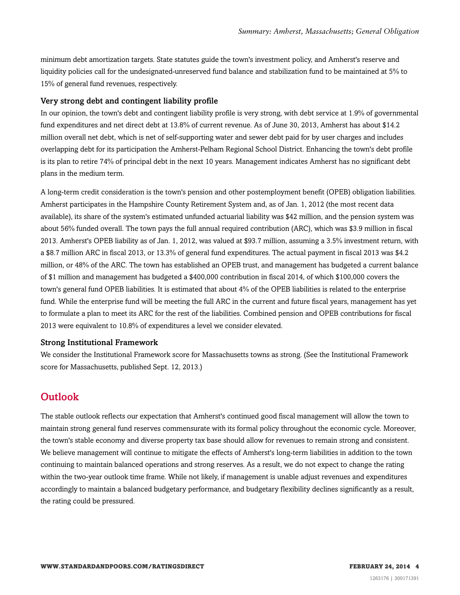minimum debt amortization targets. State statutes guide the town's investment policy, and Amherst's reserve and liquidity policies call for the undesignated-unreserved fund balance and stabilization fund to be maintained at 5% to 15% of general fund revenues, respectively.

#### Very strong debt and contingent liability profile

In our opinion, the town's debt and contingent liability profile is very strong, with debt service at 1.9% of governmental fund expenditures and net direct debt at 13.8% of current revenue. As of June 30, 2013, Amherst has about \$14.2 million overall net debt, which is net of self-supporting water and sewer debt paid for by user charges and includes overlapping debt for its participation the Amherst-Pelham Regional School District. Enhancing the town's debt profile is its plan to retire 74% of principal debt in the next 10 years. Management indicates Amherst has no significant debt plans in the medium term.

A long-term credit consideration is the town's pension and other postemployment benefit (OPEB) obligation liabilities. Amherst participates in the Hampshire County Retirement System and, as of Jan. 1, 2012 (the most recent data available), its share of the system's estimated unfunded actuarial liability was \$42 million, and the pension system was about 56% funded overall. The town pays the full annual required contribution (ARC), which was \$3.9 million in fiscal 2013. Amherst's OPEB liability as of Jan. 1, 2012, was valued at \$93.7 million, assuming a 3.5% investment return, with a \$8.7 million ARC in fiscal 2013, or 13.3% of general fund expenditures. The actual payment in fiscal 2013 was \$4.2 million, or 48% of the ARC. The town has established an OPEB trust, and management has budgeted a current balance of \$1 million and management has budgeted a \$400,000 contribution in fiscal 2014, of which \$100,000 covers the town's general fund OPEB liabilities. It is estimated that about 4% of the OPEB liabilities is related to the enterprise fund. While the enterprise fund will be meeting the full ARC in the current and future fiscal years, management has yet to formulate a plan to meet its ARC for the rest of the liabilities. Combined pension and OPEB contributions for fiscal 2013 were equivalent to 10.8% of expenditures a level we consider elevated.

#### Strong Institutional Framework

We consider the Institutional Framework score for Massachusetts towns as strong. (See the Institutional Framework score for Massachusetts, published Sept. 12, 2013.)

### <span id="page-3-0"></span>**Outlook**

The stable outlook reflects our expectation that Amherst's continued good fiscal management will allow the town to maintain strong general fund reserves commensurate with its formal policy throughout the economic cycle. Moreover, the town's stable economy and diverse property tax base should allow for revenues to remain strong and consistent. We believe management will continue to mitigate the effects of Amherst's long-term liabilities in addition to the town continuing to maintain balanced operations and strong reserves. As a result, we do not expect to change the rating within the two-year outlook time frame. While not likely, if management is unable adjust revenues and expenditures accordingly to maintain a balanced budgetary performance, and budgetary flexibility declines significantly as a result, the rating could be pressured.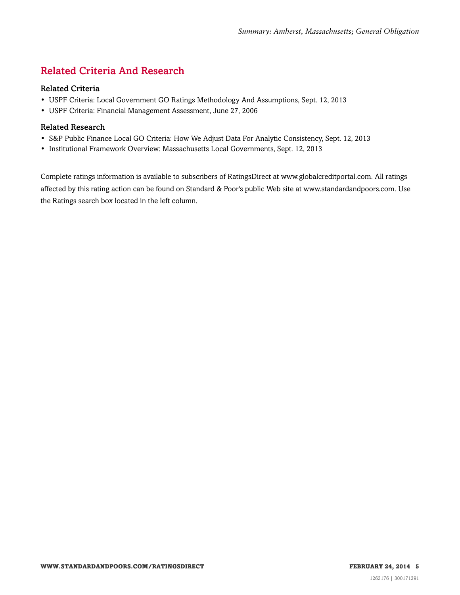# <span id="page-4-0"></span>Related Criteria And Research

#### Related Criteria

- USPF Criteria: Local Government GO Ratings Methodology And Assumptions, Sept. 12, 2013
- USPF Criteria: Financial Management Assessment, June 27, 2006

#### Related Research

- S&P Public Finance Local GO Criteria: How We Adjust Data For Analytic Consistency, Sept. 12, 2013
- Institutional Framework Overview: Massachusetts Local Governments, Sept. 12, 2013

Complete ratings information is available to subscribers of RatingsDirect at www.globalcreditportal.com. All ratings affected by this rating action can be found on Standard & Poor's public Web site at www.standardandpoors.com. Use the Ratings search box located in the left column.